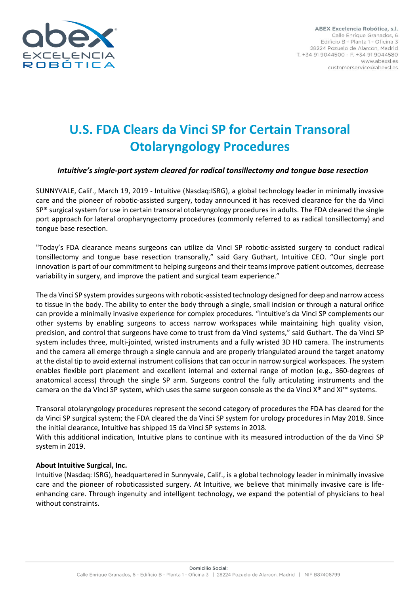

# **U.S. FDA Clears da Vinci SP for Certain Transoral Otolaryngology Procedures**

## *Intuitive's single-port system cleared for radical tonsillectomy and tongue base resection*

SUNNYVALE, Calif., March 19, 2019 - Intuitive (Nasdaq:ISRG), a global technology leader in minimally invasive care and the pioneer of robotic-assisted surgery, today announced it has received clearance for the da Vinci SP® surgical system for use in certain transoral otolaryngology procedures in adults. The FDA cleared the single port approach for lateral oropharyngectomy procedures (commonly referred to as radical tonsillectomy) and tongue base resection.

"Today's FDA clearance means surgeons can utilize da Vinci SP robotic-assisted surgery to conduct radical tonsillectomy and tongue base resection transorally," said Gary Guthart, Intuitive CEO. "Our single port innovation is part of our commitment to helping surgeons and their teams improve patient outcomes, decrease variability in surgery, and improve the patient and surgical team experience."

The da Vinci SP system provides surgeons with robotic-assisted technology designed for deep and narrow access to tissue in the body. The ability to enter the body through a single, small incision or through a natural orifice can provide a minimally invasive experience for complex procedures. "Intuitive's da Vinci SP complements our other systems by enabling surgeons to access narrow workspaces while maintaining high quality vision, precision, and control that surgeons have come to trust from da Vinci systems," said Guthart. The da Vinci SP system includes three, multi-jointed, wristed instruments and a fully wristed 3D HD camera. The instruments and the camera all emerge through a single cannula and are properly triangulated around the target anatomy at the distal tip to avoid external instrument collisions that can occur in narrow surgical workspaces. The system enables flexible port placement and excellent internal and external range of motion (e.g., 360-degrees of anatomical access) through the single SP arm. Surgeons control the fully articulating instruments and the camera on the da Vinci SP system, which uses the same surgeon console as the da Vinci X® and Xi™ systems.

Transoral otolaryngology procedures represent the second category of procedures the FDA has cleared for the da Vinci SP surgical system; the FDA cleared the da Vinci SP system for urology procedures in May 2018. Since the initial clearance, Intuitive has shipped 15 da Vinci SP systems in 2018.

With this additional indication, Intuitive plans to continue with its measured introduction of the da Vinci SP system in 2019.

## **About Intuitive Surgical, Inc.**

Intuitive (Nasdaq: ISRG), headquartered in Sunnyvale, Calif., is a global technology leader in minimally invasive care and the pioneer of roboticassisted surgery. At Intuitive, we believe that minimally invasive care is lifeenhancing care. Through ingenuity and intelligent technology, we expand the potential of physicians to heal without constraints.